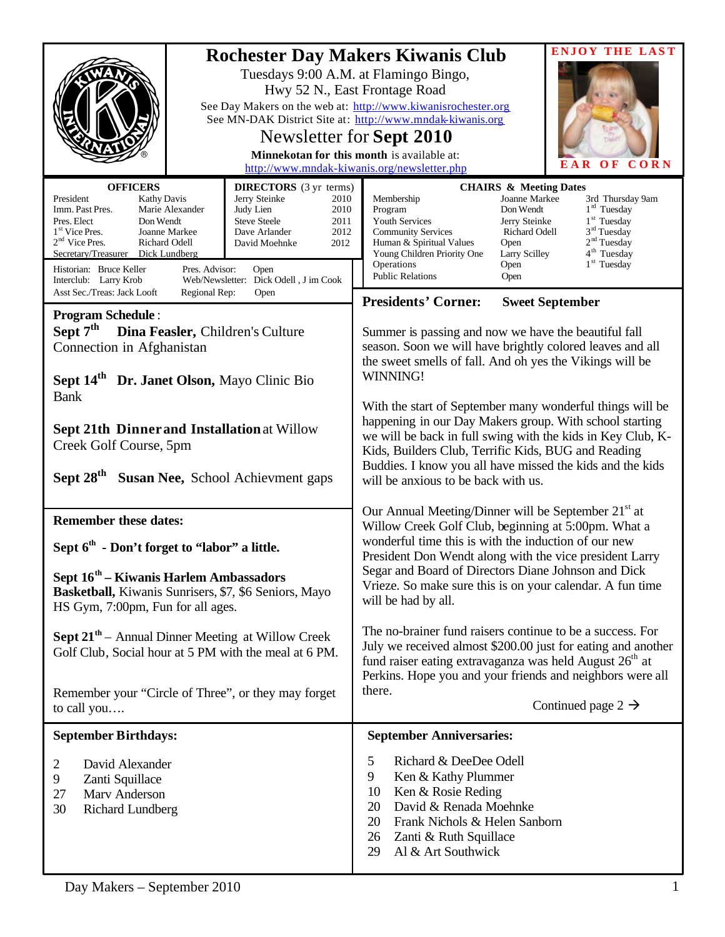|                                                                                                                                                                                                                                                                                                                     |                                                                                                                                                                                                               | <b>Rochester Day Makers Kiwanis Club</b><br>Tuesdays 9:00 A.M. at Flamingo Bingo,<br>Hwy 52 N., East Frontage Road<br>See Day Makers on the web at: http://www.kiwanisrochester.org<br>See MN-DAK District Site at: http://www.mndak-kiwanis.org                                                                                                                                     | <b>ENJOY THE LAST</b>                                                                                                                                                                                                                                                                                        |  |
|---------------------------------------------------------------------------------------------------------------------------------------------------------------------------------------------------------------------------------------------------------------------------------------------------------------------|---------------------------------------------------------------------------------------------------------------------------------------------------------------------------------------------------------------|--------------------------------------------------------------------------------------------------------------------------------------------------------------------------------------------------------------------------------------------------------------------------------------------------------------------------------------------------------------------------------------|--------------------------------------------------------------------------------------------------------------------------------------------------------------------------------------------------------------------------------------------------------------------------------------------------------------|--|
|                                                                                                                                                                                                                                                                                                                     |                                                                                                                                                                                                               | Newsletter for Sept 2010<br>Minnekotan for this month is available at:                                                                                                                                                                                                                                                                                                               | CORN<br>E A<br>O F<br>R                                                                                                                                                                                                                                                                                      |  |
| <b>OFFICERS</b><br>President<br><b>Kathy Davis</b><br>Imm. Past Pres.<br>Marie Alexander<br>Pres. Elect<br>Don Wendt<br>1 <sup>st</sup> Vice Pres.<br>Joanne Markee<br>$2nd$ Vice Pres.<br>Richard Odell<br>Secretary/Treasurer Dick Lundberg<br>Historian: Bruce Keller<br>Pres. Advisor:<br>Interclub: Larry Krob | <b>DIRECTORS</b> (3 yr terms)<br>Jerry Steinke<br>2010<br>Judy Lien<br>2010<br><b>Steve Steele</b><br>2011<br>Dave Arlander<br>2012<br>2012<br>David Moehnke<br>Open<br>Web/Newsletter: Dick Odell, J im Cook | http://www.mndak-kiwanis.org/newsletter.php<br>Membership<br>Program<br>Youth Services<br><b>Community Services</b><br>Human & Spiritual Values<br>Young Children Priority One<br>Operations<br><b>Public Relations</b>                                                                                                                                                              | <b>CHAIRS &amp; Meeting Dates</b><br>Joanne Markee<br>3rd Thursday 9am<br>$1rd$ Tuesday<br>Don Wendt<br>1 <sup>st</sup> Tuesday<br>Jerry Steinke<br>3 <sup>rd</sup> Tuesday<br>Richard Odell<br>2 <sup>nd</sup> Tuesday<br>Open<br>4 <sup>th</sup> Tuesday<br>Larry Scilley<br>$1st$ Tuesday<br>Open<br>Open |  |
| Asst Sec./Treas: Jack Looft<br>Regional Rep:                                                                                                                                                                                                                                                                        | Open                                                                                                                                                                                                          | <b>Presidents' Corner:</b>                                                                                                                                                                                                                                                                                                                                                           | <b>Sweet September</b>                                                                                                                                                                                                                                                                                       |  |
| <b>Program Schedule:</b><br>Sept $7th$<br>Dina Feasler, Children's Culture<br>Connection in Afghanistan<br>Sept 14 <sup>th</sup> Dr. Janet Olson, Mayo Clinic Bio                                                                                                                                                   |                                                                                                                                                                                                               | Summer is passing and now we have the beautiful fall<br>season. Soon we will have brightly colored leaves and all<br>the sweet smells of fall. And oh yes the Vikings will be<br>WINNING!                                                                                                                                                                                            |                                                                                                                                                                                                                                                                                                              |  |
| <b>Bank</b><br><b>Sept 21th Dinner and Installation at Willow</b><br>Creek Golf Course, 5pm<br>Sept 28 <sup>th</sup><br>Susan Nee, School Achievment gaps                                                                                                                                                           |                                                                                                                                                                                                               | With the start of September many wonderful things will be<br>happening in our Day Makers group. With school starting<br>we will be back in full swing with the kids in Key Club, K-<br>Kids, Builders Club, Terrific Kids, BUG and Reading<br>Buddies. I know you all have missed the kids and the kids<br>will be anxious to be back with us.                                       |                                                                                                                                                                                                                                                                                                              |  |
| <b>Remember these dates:</b><br>Sept 6 <sup>th</sup> - Don't forget to "labor" a little.<br>Sept 16 <sup>th</sup> – Kiwanis Harlem Ambassadors<br>Basketball, Kiwanis Sunrisers, \$7, \$6 Seniors, Mayo<br>HS Gym, 7:00pm, Fun for all ages.                                                                        |                                                                                                                                                                                                               | Our Annual Meeting/Dinner will be September 21 <sup>st</sup> at<br>Willow Creek Golf Club, beginning at 5:00pm. What a<br>wonderful time this is with the induction of our new<br>President Don Wendt along with the vice president Larry<br>Segar and Board of Directors Diane Johnson and Dick<br>Vrieze. So make sure this is on your calendar. A fun time<br>will be had by all. |                                                                                                                                                                                                                                                                                                              |  |
| <b>Sept 21<sup>th</sup></b> – Annual Dinner Meeting at Willow Creek<br>Golf Club, Social hour at 5 PM with the meal at 6 PM.                                                                                                                                                                                        |                                                                                                                                                                                                               | The no-brainer fund raisers continue to be a success. For<br>July we received almost \$200.00 just for eating and another<br>fund raiser eating extravaganza was held August $26th$ at<br>Perkins. Hope you and your friends and neighbors were all                                                                                                                                  |                                                                                                                                                                                                                                                                                                              |  |
| Remember your "Circle of Three", or they may forget<br>to call you                                                                                                                                                                                                                                                  |                                                                                                                                                                                                               | there.                                                                                                                                                                                                                                                                                                                                                                               | Continued page 2 $\rightarrow$                                                                                                                                                                                                                                                                               |  |
| <b>September Birthdays:</b>                                                                                                                                                                                                                                                                                         |                                                                                                                                                                                                               | <b>September Anniversaries:</b>                                                                                                                                                                                                                                                                                                                                                      |                                                                                                                                                                                                                                                                                                              |  |
| 2<br>David Alexander<br>9<br>Zanti Squillace<br>Marv Anderson<br>27<br>30<br><b>Richard Lundberg</b>                                                                                                                                                                                                                |                                                                                                                                                                                                               | Richard & DeeDee Odell<br>5<br>9<br>Ken & Kathy Plummer<br>Ken & Rosie Reding<br>10<br>David & Renada Moehnke<br>20<br>20<br>Frank Nichols & Helen Sanborn<br>Zanti & Ruth Squillace<br>26<br>29<br>Al & Art Southwick                                                                                                                                                               |                                                                                                                                                                                                                                                                                                              |  |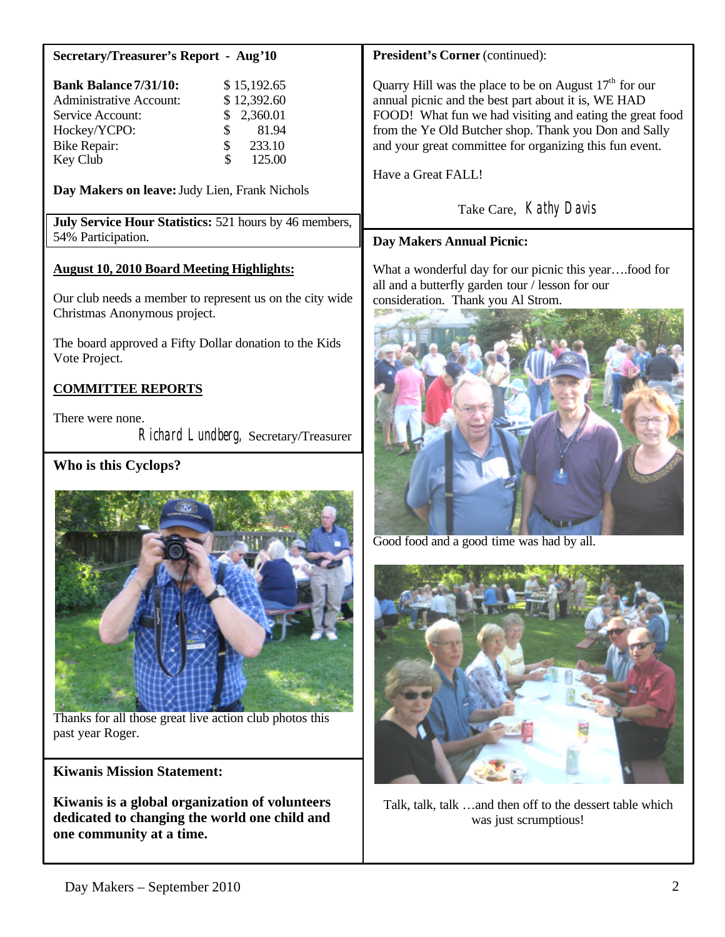| <b>Secretary/Treasurer's Report - Aug'10</b> |  |  |  |
|----------------------------------------------|--|--|--|
|----------------------------------------------|--|--|--|

| <b>Bank Balance 7/31/10:</b>        |    | \$15,192.65 |
|-------------------------------------|----|-------------|
| <b>Administrative Account:</b>      |    | \$12,392.60 |
| Service Account:                    |    | \$2,360.01  |
| Hockey/YCPO:                        | S. | 81.94       |
| <b>Bike Repair:</b><br>$\mathbb{S}$ |    | 233.10      |
| Key Club                            | S  | 125.00      |

**Day Makers on leave:**Judy Lien, Frank Nichols

**July Service Hour Statistics:** 521 hours by 46 members, 54% Participation.

## **August 10, 2010 Board Meeting Highlights:**

Our club needs a member to represent us on the city wide Christmas Anonymous project.

The board approved a Fifty Dollar donation to the Kids Vote Project.

# **COMMITTEE REPORTS**

There were none. Richard Lundberg, Secretary/Treasurer

# **Who is this Cyclops?**



Thanks for all those great live action club photos this past year Roger.

#### **Kiwanis Mission Statement:**

**Kiwanis is a global organization of volunteers dedicated to changing the world one child and one community at a time.**

## **President's Corner** (continued):

Quarry Hill was the place to be on August  $17<sup>th</sup>$  for our annual picnic and the best part about it is, WE HAD FOOD! What fun we had visiting and eating the great food from the Ye Old Butcher shop. Thank you Don and Sally and your great committee for organizing this fun event.

Have a Great FALL!

Take Care, Kathy Davis

# **Day Makers Annual Picnic:**

What a wonderful day for our picnic this year….food for all and a butterfly garden tour / lesson for our consideration. Thank you Al Strom.



Good food and a good time was had by all.



Talk, talk, talk …and then off to the dessert table which was just scrumptious!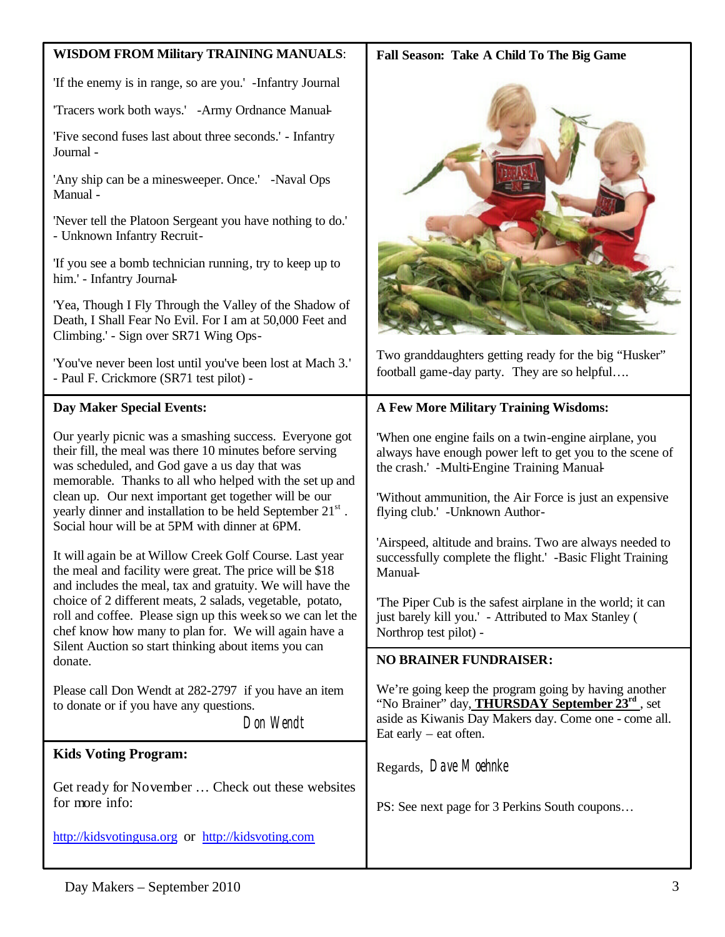| <b>WISDOM FROM Military TRAINING MANUALS:</b>                                                                                                                                                                                            | Fall Season: Take A Child To The Big Game                                                                                                                                                                       |  |  |
|------------------------------------------------------------------------------------------------------------------------------------------------------------------------------------------------------------------------------------------|-----------------------------------------------------------------------------------------------------------------------------------------------------------------------------------------------------------------|--|--|
| 'If the enemy is in range, so are you.' -Infantry Journal                                                                                                                                                                                |                                                                                                                                                                                                                 |  |  |
| 'Tracers work both ways.' -Army Ordnance Manual-                                                                                                                                                                                         |                                                                                                                                                                                                                 |  |  |
| 'Five second fuses last about three seconds.' - Infantry<br>Journal -                                                                                                                                                                    |                                                                                                                                                                                                                 |  |  |
| 'Any ship can be a minesweeper. Once.' -Naval Ops<br>Manual-                                                                                                                                                                             |                                                                                                                                                                                                                 |  |  |
| 'Never tell the Platoon Sergeant you have nothing to do.'<br>- Unknown Infantry Recruit-                                                                                                                                                 |                                                                                                                                                                                                                 |  |  |
| 'If you see a bomb technician running, try to keep up to<br>him.' - Infantry Journal-                                                                                                                                                    |                                                                                                                                                                                                                 |  |  |
| 'Yea, Though I Fly Through the Valley of the Shadow of<br>Death, I Shall Fear No Evil. For I am at 50,000 Feet and<br>Climbing.' - Sign over SR71 Wing Ops-                                                                              |                                                                                                                                                                                                                 |  |  |
| 'You've never been lost until you've been lost at Mach 3.'<br>- Paul F. Crickmore (SR71 test pilot) -                                                                                                                                    | Two granddaughters getting ready for the big "Husker"<br>football game-day party. They are so helpful                                                                                                           |  |  |
| <b>Day Maker Special Events:</b>                                                                                                                                                                                                         | <b>A Few More Military Training Wisdoms:</b>                                                                                                                                                                    |  |  |
| Our yearly picnic was a smashing success. Everyone got<br>their fill, the meal was there 10 minutes before serving<br>was scheduled, and God gave a us day that was<br>memorable. Thanks to all who helped with the set up and           | 'When one engine fails on a twin-engine airplane, you<br>always have enough power left to get you to the scene of<br>the crash.' -Multi-Engine Training Manual-                                                 |  |  |
| clean up. Our next important get together will be our<br>yearly dinner and installation to be held September 21 <sup>st</sup> .<br>Social hour will be at 5PM with dinner at 6PM.                                                        | Without ammunition, the Air Force is just an expensive<br>flying club.' - Unknown Author-                                                                                                                       |  |  |
| It will again be at Willow Creek Golf Course. Last year<br>the meal and facility were great. The price will be \$18<br>and includes the meal, tax and gratuity. We will have the                                                         | 'Airspeed, altitude and brains. Two are always needed to<br>successfully complete the flight.' -Basic Flight Training<br>Manual                                                                                 |  |  |
| choice of 2 different meats, 2 salads, vegetable, potato,<br>roll and coffee. Please sign up this week so we can let the<br>chef know how many to plan for. We will again have a<br>Silent Auction so start thinking about items you can | The Piper Cub is the safest airplane in the world; it can<br>just barely kill you.' - Attributed to Max Stanley (<br>Northrop test pilot) -                                                                     |  |  |
| donate.                                                                                                                                                                                                                                  | <b>NO BRAINER FUNDRAISER:</b>                                                                                                                                                                                   |  |  |
| Please call Don Wendt at 282-2797 if you have an item<br>to donate or if you have any questions.<br>Don Wendt                                                                                                                            | We're going keep the program going by having another<br>"No Brainer" day, <b>THURSDAY</b> September 23 <sup>rd</sup> , set<br>aside as Kiwanis Day Makers day. Come one - come all.<br>Eat early $-$ eat often. |  |  |
| <b>Kids Voting Program:</b>                                                                                                                                                                                                              | Regards, Dave Moehnke                                                                                                                                                                                           |  |  |
| Get ready for November  Check out these websites<br>for more info:                                                                                                                                                                       | PS: See next page for 3 Perkins South coupons                                                                                                                                                                   |  |  |
|                                                                                                                                                                                                                                          |                                                                                                                                                                                                                 |  |  |
| http://kidsvotingusa.org or http://kidsvoting.com                                                                                                                                                                                        |                                                                                                                                                                                                                 |  |  |